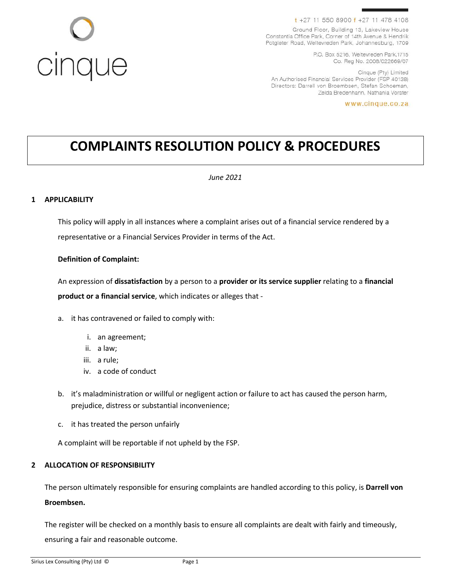# cinque

### t +27 11 550 8900 f +27 11 478 4108

Ground Floor, Building 13, Lakeview House Constantia Office Park, Corner of 14th Avenue & Hendrik Potgieter Road, Weltevreden Park, Johannesburg, 1709

> P.O. Box 5216, Weltevreden Park, 1715 Co. Reg No. 2008/022669/07

Cinque (Pty) Limited An Authorised Financial Services Provider (FSP 40138) Directors: Darrell von Broembsen, Stefan Schoeman, Zelda Bredenhann, Nathania Vorster

www.cinque.co.za

# **COMPLAINTS RESOLUTION POLICY & PROCEDURES**

### *June 2021*

### **1 APPLICABILITY**

This policy will apply in all instances where a complaint arises out of a financial service rendered by a representative or a Financial Services Provider in terms of the Act.

### **Definition of Complaint:**

An expression of **dissatisfaction** by a person to a **provider or its service supplier** relating to a **financial product or a financial service**, which indicates or alleges that -

- a. it has contravened or failed to comply with:
	- i. an agreement;
	- ii. a law;
	- iii. a rule;
	- iv. a code of conduct
- b. it's maladministration or willful or negligent action or failure to act has caused the person harm, prejudice, distress or substantial inconvenience;
- c. it has treated the person unfairly

A complaint will be reportable if not upheld by the FSP.

### **2 ALLOCATION OF RESPONSIBILITY**

The person ultimately responsible for ensuring complaints are handled according to this policy, is **Darrell von Broembsen.**

The register will be checked on a monthly basis to ensure all complaints are dealt with fairly and timeously, ensuring a fair and reasonable outcome.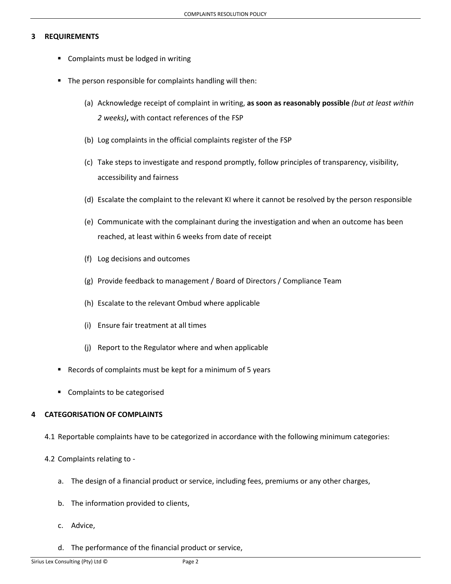### **3 REQUIREMENTS**

- Complaints must be lodged in writing
- The person responsible for complaints handling will then:
	- (a) Acknowledge receipt of complaint in writing, **as soon as reasonably possible** *(but at least within 2 weeks)***,** with contact references of the FSP
	- (b) Log complaints in the official complaints register of the FSP
	- (c) Take steps to investigate and respond promptly, follow principles of transparency, visibility, accessibility and fairness
	- (d) Escalate the complaint to the relevant KI where it cannot be resolved by the person responsible
	- (e) Communicate with the complainant during the investigation and when an outcome has been reached, at least within 6 weeks from date of receipt
	- (f) Log decisions and outcomes
	- (g) Provide feedback to management / Board of Directors / Compliance Team
	- (h) Escalate to the relevant Ombud where applicable
	- (i) Ensure fair treatment at all times
	- (j) Report to the Regulator where and when applicable
- Records of complaints must be kept for a minimum of 5 years
- Complaints to be categorised

### **4 CATEGORISATION OF COMPLAINTS**

4.1 Reportable complaints have to be categorized in accordance with the following minimum categories:

### 4.2 Complaints relating to -

- a. The design of a financial product or service, including fees, premiums or any other charges,
- b. The information provided to clients,
- c. Advice,
- d. The performance of the financial product or service,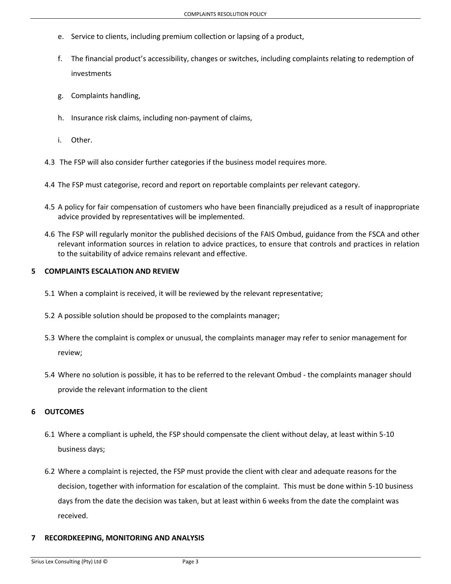- e. Service to clients, including premium collection or lapsing of a product,
- f. The financial product's accessibility, changes or switches, including complaints relating to redemption of investments
- g. Complaints handling,
- h. Insurance risk claims, including non-payment of claims,
- i. Other.
- 4.3 The FSP will also consider further categories if the business model requires more.
- 4.4 The FSP must categorise, record and report on reportable complaints per relevant category.
- 4.5 A policy for fair compensation of customers who have been financially prejudiced as a result of inappropriate advice provided by representatives will be implemented.
- 4.6 The FSP will regularly monitor the published decisions of the FAIS Ombud, guidance from the FSCA and other relevant information sources in relation to advice practices, to ensure that controls and practices in relation to the suitability of advice remains relevant and effective.

### **5 COMPLAINTS ESCALATION AND REVIEW**

- 5.1 When a complaint is received, it will be reviewed by the relevant representative;
- 5.2 A possible solution should be proposed to the complaints manager;
- 5.3 Where the complaint is complex or unusual, the complaints manager may refer to senior management for review;
- 5.4 Where no solution is possible, it has to be referred to the relevant Ombud the complaints manager should provide the relevant information to the client

### **6 OUTCOMES**

- 6.1 Where a compliant is upheld, the FSP should compensate the client without delay, at least within 5-10 business days;
- 6.2 Where a complaint is rejected, the FSP must provide the client with clear and adequate reasons for the decision, together with information for escalation of the complaint. This must be done within 5-10 business days from the date the decision was taken, but at least within 6 weeks from the date the complaint was received.

### **7 RECORDKEEPING, MONITORING AND ANALYSIS**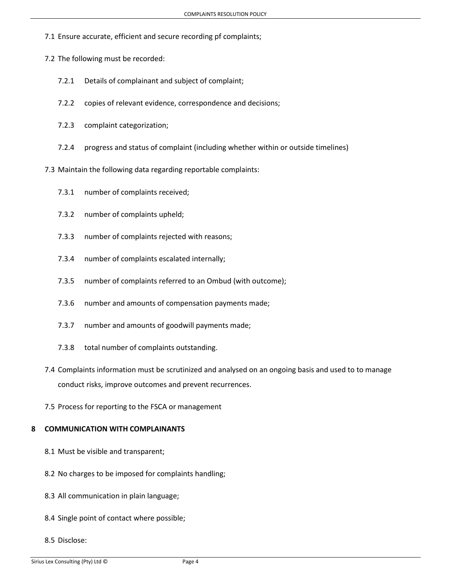- 7.1 Ensure accurate, efficient and secure recording pf complaints;
- 7.2 The following must be recorded:
	- 7.2.1 Details of complainant and subject of complaint;
	- 7.2.2 copies of relevant evidence, correspondence and decisions;
	- 7.2.3 complaint categorization;
	- 7.2.4 progress and status of complaint (including whether within or outside timelines)
- 7.3 Maintain the following data regarding reportable complaints:
	- 7.3.1 number of complaints received;
	- 7.3.2 number of complaints upheld;
	- 7.3.3 number of complaints rejected with reasons;
	- 7.3.4 number of complaints escalated internally;
	- 7.3.5 number of complaints referred to an Ombud (with outcome);
	- 7.3.6 number and amounts of compensation payments made;
	- 7.3.7 number and amounts of goodwill payments made;
	- 7.3.8 total number of complaints outstanding.
- 7.4 Complaints information must be scrutinized and analysed on an ongoing basis and used to to manage conduct risks, improve outcomes and prevent recurrences.
- 7.5 Process for reporting to the FSCA or management

### **8 COMMUNICATION WITH COMPLAINANTS**

- 8.1 Must be visible and transparent;
- 8.2 No charges to be imposed for complaints handling;
- 8.3 All communication in plain language;
- 8.4 Single point of contact where possible;
- 8.5 Disclose: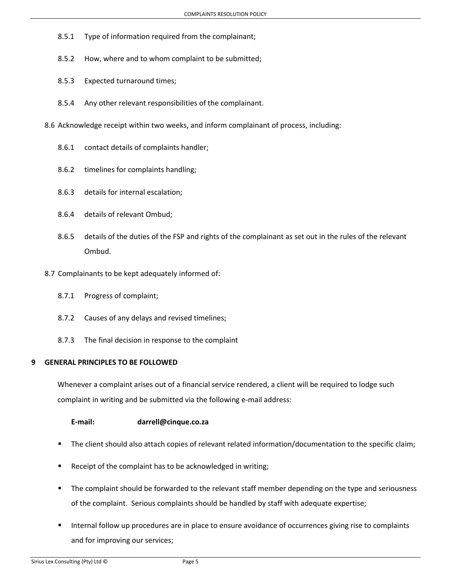- 8.5.1 Type of information required from the complainant;
- 8.5.2 How, where and to whom complaint to be submitted;
- 8.5.3 Expected turnaround times;
- 8.5.4 Any other relevant responsibilities of the complainant.
- 8.6 Acknowledge receipt within two weeks, and inform complainant of process, including:
	- 8.6.1 contact details of complaints handler;
	- 8.6.2 timelines for complaints handling;
	- 8.6.3 details for internal escalation;
	- 8.6.4 details of relevant Ombud;
	- 8.6.5 details of the duties of the FSP and rights of the complainant as set out in the rules of the relevant Ombud.
- 8.7 Complainants to be kept adequately informed of:
	- 8.7.1 Progress of complaint;
	- 8.7.2 Causes of any delays and revised timelines;
	- 8.7.3 The final decision in response to the complaint

### **9 GENERAL PRINCIPLES TO BE FOLLOWED**

Whenever a complaint arises out of a financial service rendered, a client will be required to lodge such complaint in writing and be submitted via the following e-mail address:

**E-mail: darrell@cinque.co.za**

- The client should also attach copies of relevant related information/documentation to the specific claim;
- Receipt of the complaint has to be acknowledged in writing;
- **■** The complaint should be forwarded to the relevant staff member depending on the type and seriousness of the complaint. Serious complaints should be handled by staff with adequate expertise;
- Internal follow up procedures are in place to ensure avoidance of occurrences giving rise to complaints and for improving our services;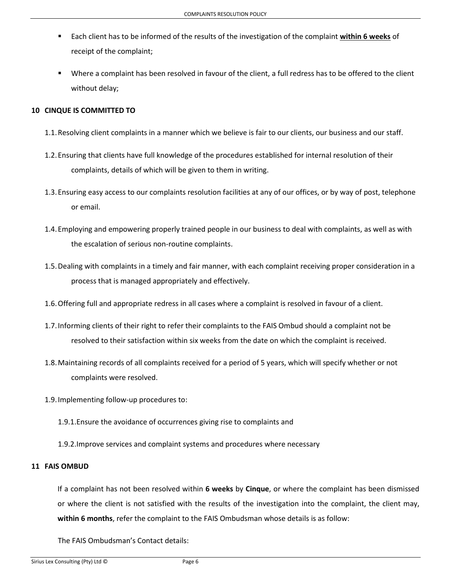- Each client has to be informed of the results of the investigation of the complaint **within 6 weeks** of receipt of the complaint;
- Where a complaint has been resolved in favour of the client, a full redress has to be offered to the client without delay;

### **10 CINQUE IS COMMITTED TO**

- 1.1.Resolving client complaints in a manner which we believe is fair to our clients, our business and our staff.
- 1.2.Ensuring that clients have full knowledge of the procedures established for internal resolution of their complaints, details of which will be given to them in writing.
- 1.3.Ensuring easy access to our complaints resolution facilities at any of our offices, or by way of post, telephone or email.
- 1.4.Employing and empowering properly trained people in our business to deal with complaints, as well as with the escalation of serious non-routine complaints.
- 1.5.Dealing with complaints in a timely and fair manner, with each complaint receiving proper consideration in a process that is managed appropriately and effectively.
- 1.6.Offering full and appropriate redress in all cases where a complaint is resolved in favour of a client.
- 1.7.Informing clients of their right to refer their complaints to the FAIS Ombud should a complaint not be resolved to their satisfaction within six weeks from the date on which the complaint is received.
- 1.8.Maintaining records of all complaints received for a period of 5 years, which will specify whether or not complaints were resolved.
- 1.9.Implementing follow-up procedures to:
	- 1.9.1.Ensure the avoidance of occurrences giving rise to complaints and
	- 1.9.2.Improve services and complaint systems and procedures where necessary

### **11 FAIS OMBUD**

If a complaint has not been resolved within **6 weeks** by **Cinque**, or where the complaint has been dismissed or where the client is not satisfied with the results of the investigation into the complaint, the client may, **within 6 months**, refer the complaint to the FAIS Ombudsman whose details is as follow:

The FAIS Ombudsman's Contact details: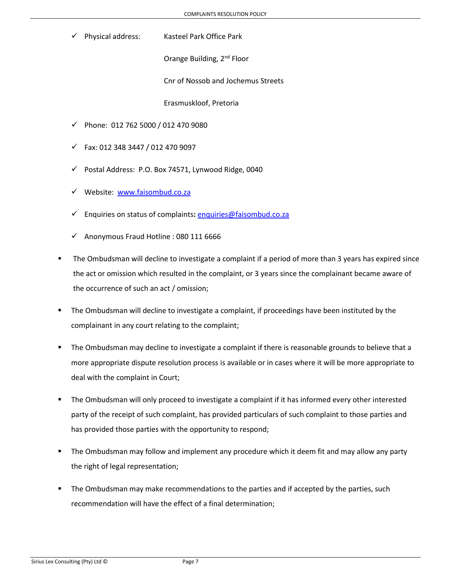Physical address: Kasteel Park Office Park

Orange Building, 2<sup>nd</sup> Floor

Cnr of Nossob and Jochemus Streets

Erasmuskloof, Pretoria

- ✓ Phone: 012 762 5000 / 012 470 9080
- ✓ Fax: 012 348 3447 / 012 470 9097
- ✓ Postal Address: P.O. Box 74571, Lynwood Ridge, 0040
- ✓ Website: [www.faisombud.co.za](http://www.faisombud.co.za/)
- ✓ Enquiries on status of complaints**:** [enquiries@faisombud.co.za](mailto:enquiries@faisombud.co.za)
- ✓ Anonymous Fraud Hotline : 080 111 6666
- The Ombudsman will decline to investigate a complaint if a period of more than 3 years has expired since the act or omission which resulted in the complaint, or 3 years since the complainant became aware of the occurrence of such an act / omission;
- The Ombudsman will decline to investigate a complaint, if proceedings have been instituted by the complainant in any court relating to the complaint;
- **•** The Ombudsman may decline to investigate a complaint if there is reasonable grounds to believe that a more appropriate dispute resolution process is available or in cases where it will be more appropriate to deal with the complaint in Court;
- The Ombudsman will only proceed to investigate a complaint if it has informed every other interested party of the receipt of such complaint, has provided particulars of such complaint to those parties and has provided those parties with the opportunity to respond;
- The Ombudsman may follow and implement any procedure which it deem fit and may allow any party the right of legal representation;
- The Ombudsman may make recommendations to the parties and if accepted by the parties, such recommendation will have the effect of a final determination;